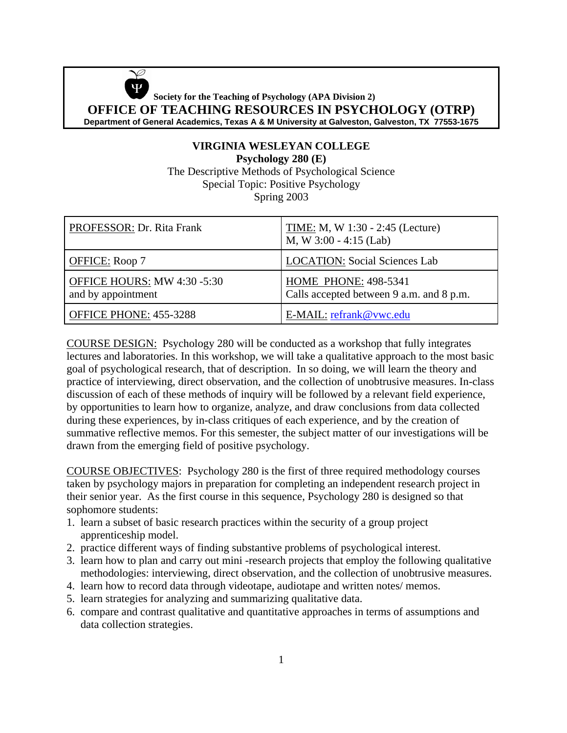Ø  **Society for the Teaching of Psychology (APA Division 2) OFFICE OF TEACHING RESOURCES IN PSYCHOLOGY (OTRP) Department of General Academics, Texas A & M University at Galveston, Galveston, TX 77553-1675**

## **VIRGINIA WESLEYAN COLLEGE Psychology 280 (E)** The Descriptive Methods of Psychological Science Special Topic: Positive Psychology Spring 2003

| PROFESSOR: Dr. Rita Frank                         | TIME: M, W 1:30 - 2:45 (Lecture)<br>M, W $3:00 - 4:15$ (Lab)            |
|---------------------------------------------------|-------------------------------------------------------------------------|
| <b>OFFICE:</b> Roop 7                             | <b>LOCATION: Social Sciences Lab</b>                                    |
| OFFICE HOURS: MW 4:30 -5:30<br>and by appointment | <b>HOME PHONE: 498-5341</b><br>Calls accepted between 9 a.m. and 8 p.m. |
| OFFICE PHONE: 455-3288                            | E-MAIL: refrank@vwc.edu                                                 |

COURSE DESIGN: Psychology 280 will be conducted as a workshop that fully integrates lectures and laboratories. In this workshop, we will take a qualitative approach to the most basic goal of psychological research, that of description. In so doing, we will learn the theory and practice of interviewing, direct observation, and the collection of unobtrusive measures. In-class discussion of each of these methods of inquiry will be followed by a relevant field experience, by opportunities to learn how to organize, analyze, and draw conclusions from data collected during these experiences, by in-class critiques of each experience, and by the creation of summative reflective memos. For this semester, the subject matter of our investigations will be drawn from the emerging field of positive psychology.

COURSE OBJECTIVES: Psychology 280 is the first of three required methodology courses taken by psychology majors in preparation for completing an independent research project in their senior year. As the first course in this sequence, Psychology 280 is designed so that sophomore students:

- 1. learn a subset of basic research practices within the security of a group project apprenticeship model.
- 2. practice different ways of finding substantive problems of psychological interest.
- 3. learn how to plan and carry out mini -research projects that employ the following qualitative methodologies: interviewing, direct observation, and the collection of unobtrusive measures.
- 4. learn how to record data through videotape, audiotape and written notes/ memos.
- 5. learn strategies for analyzing and summarizing qualitative data.
- 6. compare and contrast qualitative and quantitative approaches in terms of assumptions and data collection strategies.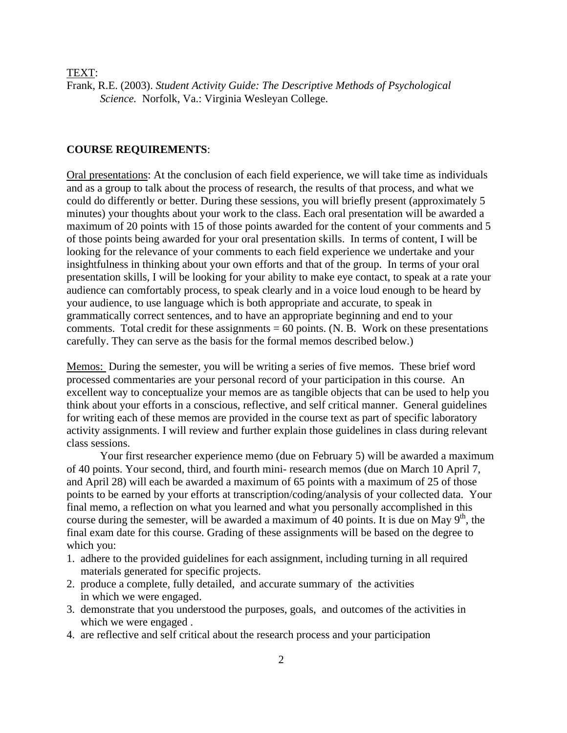TEXT:

Frank, R.E. (2003). *Student Activity Guide: The Descriptive Methods of Psychological Science.* Norfolk, Va.: Virginia Wesleyan College.

### **COURSE REQUIREMENTS**:

Oral presentations: At the conclusion of each field experience, we will take time as individuals and as a group to talk about the process of research, the results of that process, and what we could do differently or better. During these sessions, you will briefly present (approximately 5 minutes) your thoughts about your work to the class. Each oral presentation will be awarded a maximum of 20 points with 15 of those points awarded for the content of your comments and 5 of those points being awarded for your oral presentation skills. In terms of content, I will be looking for the relevance of your comments to each field experience we undertake and your insightfulness in thinking about your own efforts and that of the group. In terms of your oral presentation skills, I will be looking for your ability to make eye contact, to speak at a rate your audience can comfortably process, to speak clearly and in a voice loud enough to be heard by your audience, to use language which is both appropriate and accurate, to speak in grammatically correct sentences, and to have an appropriate beginning and end to your comments. Total credit for these assignments  $= 60$  points. (N. B. Work on these presentations carefully. They can serve as the basis for the formal memos described below.)

Memos: During the semester, you will be writing a series of five memos. These brief word processed commentaries are your personal record of your participation in this course. An excellent way to conceptualize your memos are as tangible objects that can be used to help you think about your efforts in a conscious, reflective, and self critical manner. General guidelines for writing each of these memos are provided in the course text as part of specific laboratory activity assignments. I will review and further explain those guidelines in class during relevant class sessions.

Your first researcher experience memo (due on February 5) will be awarded a maximum of 40 points. Your second, third, and fourth mini- research memos (due on March 10 April 7, and April 28) will each be awarded a maximum of 65 points with a maximum of 25 of those points to be earned by your efforts at transcription/coding/analysis of your collected data. Your final memo, a reflection on what you learned and what you personally accomplished in this course during the semester, will be awarded a maximum of 40 points. It is due on May  $9<sup>th</sup>$ , the final exam date for this course. Grading of these assignments will be based on the degree to which you:

- 1. adhere to the provided guidelines for each assignment, including turning in all required materials generated for specific projects.
- 2. produce a complete, fully detailed, and accurate summary of the activities in which we were engaged.
- 3. demonstrate that you understood the purposes, goals, and outcomes of the activities in which we were engaged .
- 4. are reflective and self critical about the research process and your participation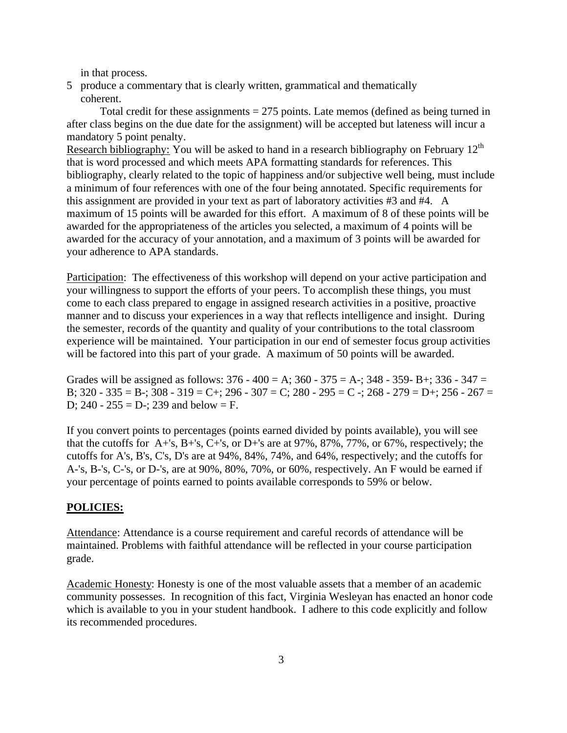in that process.

5 produce a commentary that is clearly written, grammatical and thematically coherent.

Total credit for these assignments  $= 275$  points. Late memos (defined as being turned in after class begins on the due date for the assignment) will be accepted but lateness will incur a mandatory 5 point penalty.

Research bibliography: You will be asked to hand in a research bibliography on February 12<sup>th</sup> that is word processed and which meets APA formatting standards for references. This bibliography, clearly related to the topic of happiness and/or subjective well being, must include a minimum of four references with one of the four being annotated. Specific requirements for this assignment are provided in your text as part of laboratory activities #3 and #4. A maximum of 15 points will be awarded for this effort. A maximum of 8 of these points will be awarded for the appropriateness of the articles you selected, a maximum of 4 points will be awarded for the accuracy of your annotation, and a maximum of 3 points will be awarded for your adherence to APA standards.

Participation: The effectiveness of this workshop will depend on your active participation and your willingness to support the efforts of your peers. To accomplish these things, you must come to each class prepared to engage in assigned research activities in a positive, proactive manner and to discuss your experiences in a way that reflects intelligence and insight. During the semester, records of the quantity and quality of your contributions to the total classroom experience will be maintained. Your participation in our end of semester focus group activities will be factored into this part of your grade. A maximum of 50 points will be awarded.

Grades will be assigned as follows:  $376 - 400 = A$ ;  $360 - 375 = A$ -;  $348 - 359 - B$ +;  $336 - 347 = A$ B;  $320 - 335 = B$ ;  $308 - 319 = C$ ;  $296 - 307 = C$ ;  $280 - 295 = C$ ;  $268 - 279 = D$ ;  $256 - 267 =$ D;  $240 - 255 = D$  -; 239 and below = F.

If you convert points to percentages (points earned divided by points available), you will see that the cutoffs for A+'s, B+'s, C+'s, or D+'s are at  $97\%$ ,  $87\%$ ,  $77\%$ , or  $67\%$ , respectively; the cutoffs for A's, B's, C's, D's are at 94%, 84%, 74%, and 64%, respectively; and the cutoffs for A-'s, B-'s, C-'s, or D-'s, are at 90%, 80%, 70%, or 60%, respectively. An F would be earned if your percentage of points earned to points available corresponds to 59% or below.

## **POLICIES:**

Attendance: Attendance is a course requirement and careful records of attendance will be maintained. Problems with faithful attendance will be reflected in your course participation grade.

Academic Honesty: Honesty is one of the most valuable assets that a member of an academic community possesses. In recognition of this fact, Virginia Wesleyan has enacted an honor code which is available to you in your student handbook. I adhere to this code explicitly and follow its recommended procedures.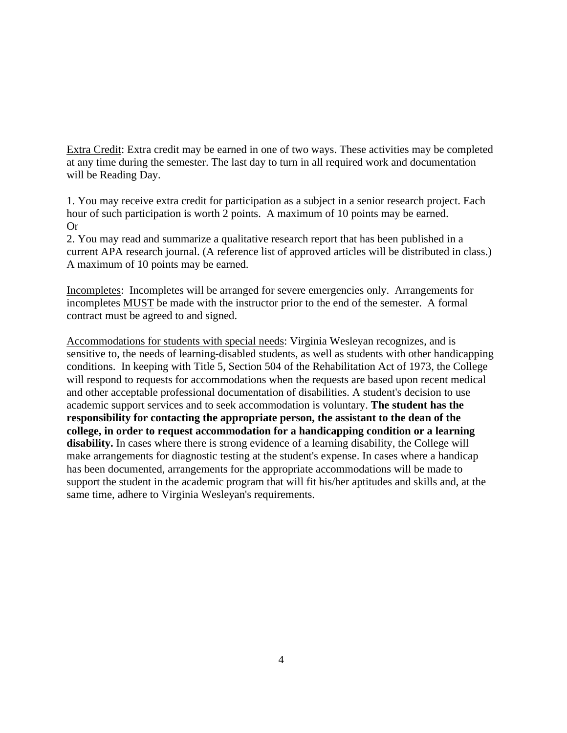Extra Credit: Extra credit may be earned in one of two ways. These activities may be completed at any time during the semester. The last day to turn in all required work and documentation will be Reading Day.

1. You may receive extra credit for participation as a subject in a senior research project. Each hour of such participation is worth 2 points. A maximum of 10 points may be earned. Or

2. You may read and summarize a qualitative research report that has been published in a current APA research journal. (A reference list of approved articles will be distributed in class.) A maximum of 10 points may be earned.

Incompletes: Incompletes will be arranged for severe emergencies only. Arrangements for incompletes MUST be made with the instructor prior to the end of the semester. A formal contract must be agreed to and signed.

Accommodations for students with special needs: Virginia Wesleyan recognizes, and is sensitive to, the needs of learning-disabled students, as well as students with other handicapping conditions. In keeping with Title 5, Section 504 of the Rehabilitation Act of 1973, the College will respond to requests for accommodations when the requests are based upon recent medical and other acceptable professional documentation of disabilities. A student's decision to use academic support services and to seek accommodation is voluntary. **The student has the responsibility for contacting the appropriate person, the assistant to the dean of the college, in order to request accommodation for a handicapping condition or a learning disability.** In cases where there is strong evidence of a learning disability, the College will make arrangements for diagnostic testing at the student's expense. In cases where a handicap has been documented, arrangements for the appropriate accommodations will be made to support the student in the academic program that will fit his/her aptitudes and skills and, at the same time, adhere to Virginia Wesleyan's requirements.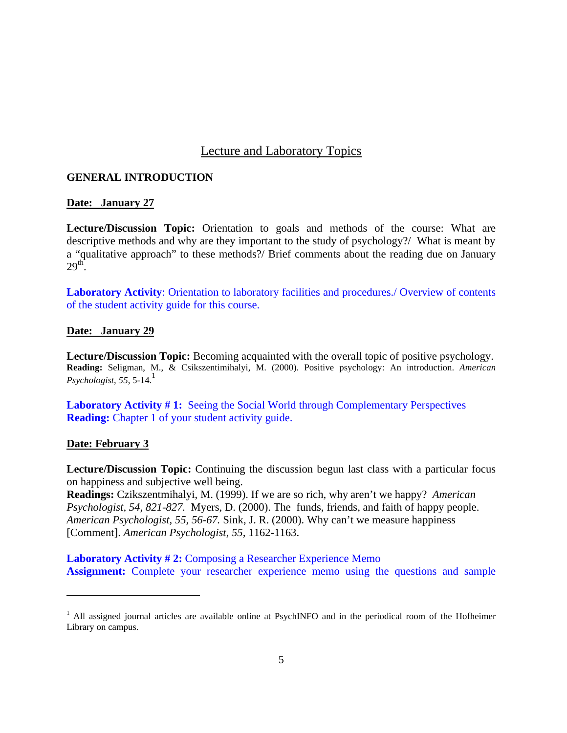# Lecture and Laboratory Topics

## **GENERAL INTRODUCTION**

## **Date: January 27**

**Lecture/Discussion Topic:** Orientation to goals and methods of the course: What are descriptive methods and why are they important to the study of psychology?/ What is meant by a "qualitative approach" to these methods?/ Brief comments about the reading due on January  $29<sup>th</sup>$ .

**Laboratory Activity**: Orientation to laboratory facilities and procedures./ Overview of contents of the student activity guide for this course.

### **Date: January 29**

**Lecture/Discussion Topic:** Becoming acquainted with the overall topic of positive psychology. **Reading:** Seligman, M., & Csikszentimihalyi, M. (2000). Positive psychology: An introduction. *American*   $Psychologist, 55, 5-14.<sup>1</sup>$ 

**Laboratory Activity #1:** Seeing the Social World through Complementary Perspectives **Reading:** Chapter 1 of your student activity guide.

## **Date: February 3**

 $\overline{a}$ 

**Lecture/Discussion Topic:** Continuing the discussion begun last class with a particular focus on happiness and subjective well being.

**Readings:** Czikszentmihalyi, M. (1999). If we are so rich, why aren't we happy? *American Psychologist, 54, 821-827.* Myers, D. (2000). The funds, friends, and faith of happy people. *American Psychologist, 55, 56-67.* Sink, J. R. (2000). Why can't we measure happiness [Comment]. *American Psychologist, 55,* 1162-1163.

**Laboratory Activity # 2:** Composing a Researcher Experience Memo **Assignment:** Complete your researcher experience memo using the questions and sample

<sup>&</sup>lt;sup>1</sup> All assigned journal articles are available online at PsychINFO and in the periodical room of the Hofheimer Library on campus.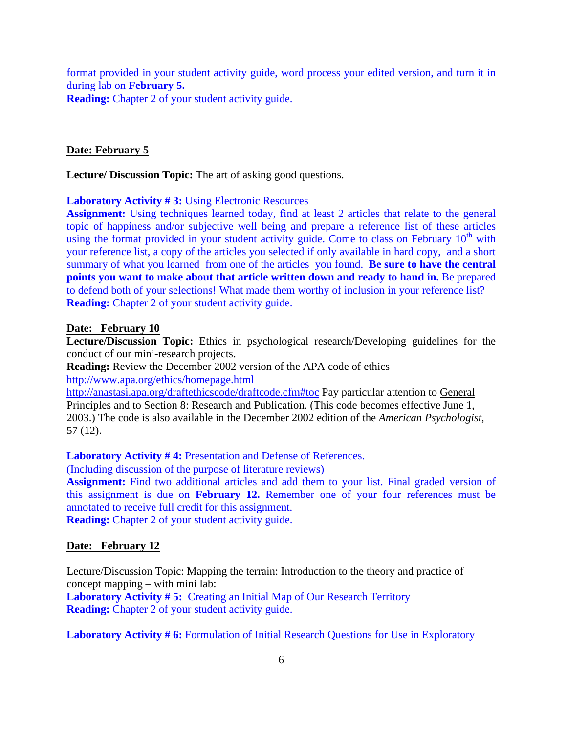format provided in your student activity guide, word process your edited version, and turn it in during lab on **February 5.**

**Reading:** Chapter 2 of your student activity guide.

### **Date: February 5**

**Lecture/ Discussion Topic:** The art of asking good questions.

**Laboratory Activity # 3:** Using Electronic Resources

Assignment: Using techniques learned today, find at least 2 articles that relate to the general topic of happiness and/or subjective well being and prepare a reference list of these articles using the format provided in your student activity guide. Come to class on February  $10<sup>th</sup>$  with your reference list, a copy of the articles you selected if only available in hard copy, and a short summary of what you learned from one of the articles you found. **Be sure to have the central points you want to make about that article written down and ready to hand in.** Be prepared to defend both of your selections! What made them worthy of inclusion in your reference list? **Reading:** Chapter 2 of your student activity guide.

### **Date: February 10**

**Lecture/Discussion Topic:** Ethics in psychological research/Developing guidelines for the conduct of our mini-research projects.

**Reading:** Review the December 2002 version of the APA code of ethics http://www.apa.org/ethics/homepage.html

http://anastasi.apa.org/draftethicscode/draftcode.cfm#toc Pay particular attention to General Principles and to Section 8: Research and Publication. (This code becomes effective June 1, 2003.) The code is also available in the December 2002 edition of the *American Psychologist*, 57 (12).

Laboratory Activity #4: Presentation and Defense of References.

(Including discussion of the purpose of literature reviews)

**Assignment:** Find two additional articles and add them to your list. Final graded version of this assignment is due on **February 12.** Remember one of your four references must be annotated to receive full credit for this assignment.

**Reading:** Chapter 2 of your student activity guide.

## **Date: February 12**

Lecture/Discussion Topic: Mapping the terrain: Introduction to the theory and practice of concept mapping – with mini lab:

**Laboratory Activity # 5:** Creating an Initial Map of Our Research Territory **Reading:** Chapter 2 of your student activity guide.

**Laboratory Activity # 6:** Formulation of Initial Research Questions for Use in Exploratory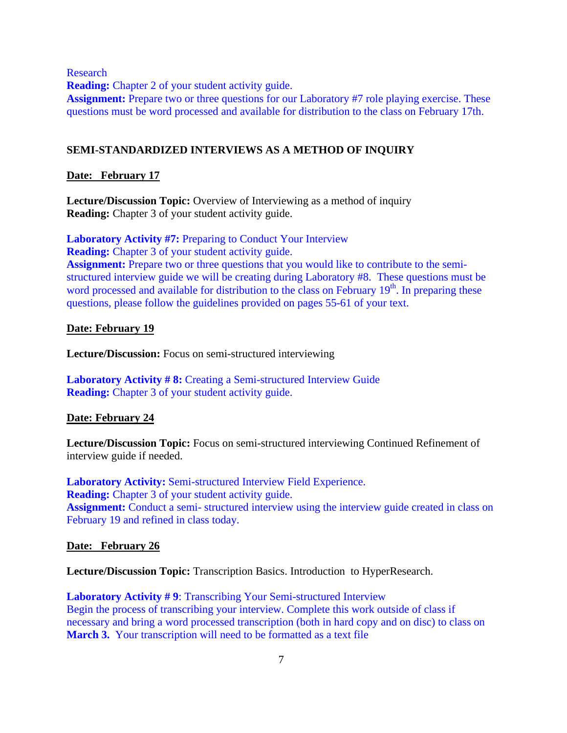Research

**Reading:** Chapter 2 of your student activity guide.

Assignment: Prepare two or three questions for our Laboratory #7 role playing exercise. These questions must be word processed and available for distribution to the class on February 17th.

### **SEMI-STANDARDIZED INTERVIEWS AS A METHOD OF INQUIRY**

### **Date: February 17**

**Lecture/Discussion Topic:** Overview of Interviewing as a method of inquiry **Reading:** Chapter 3 of your student activity guide.

**Laboratory Activity #7:** Preparing to Conduct Your Interview **Reading:** Chapter 3 of your student activity guide. **Assignment:** Prepare two or three questions that you would like to contribute to the semistructured interview guide we will be creating during Laboratory #8. These questions must be word processed and available for distribution to the class on February 19<sup>th</sup>. In preparing these questions, please follow the guidelines provided on pages 55-61 of your text.

### **Date: February 19**

**Lecture/Discussion:** Focus on semi-structured interviewing

**Laboratory Activity # 8:** Creating a Semi-structured Interview Guide **Reading:** Chapter 3 of your student activity guide.

### **Date: February 24**

**Lecture/Discussion Topic:** Focus on semi-structured interviewing Continued Refinement of interview guide if needed.

**Laboratory Activity:** Semi-structured Interview Field Experience. **Reading:** Chapter 3 of your student activity guide. **Assignment:** Conduct a semi- structured interview using the interview guide created in class on February 19 and refined in class today.

### **Date: February 26**

**Lecture/Discussion Topic:** Transcription Basics. Introduction to HyperResearch.

**Laboratory Activity # 9**: Transcribing Your Semi-structured Interview Begin the process of transcribing your interview. Complete this work outside of class if necessary and bring a word processed transcription (both in hard copy and on disc) to class on **March 3.** Your transcription will need to be formatted as a text file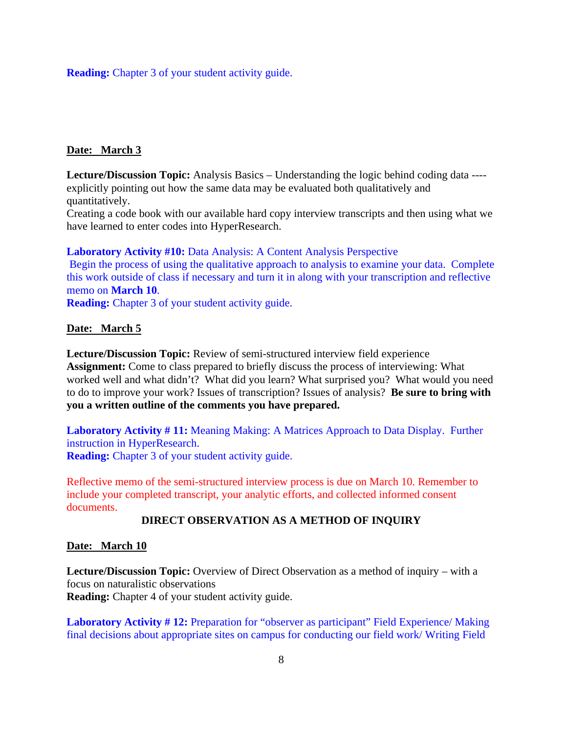**Reading:** Chapter 3 of your student activity guide.

### **Date: March 3**

**Lecture/Discussion Topic:** Analysis Basics – Understanding the logic behind coding data --- explicitly pointing out how the same data may be evaluated both qualitatively and quantitatively.

Creating a code book with our available hard copy interview transcripts and then using what we have learned to enter codes into HyperResearch.

Laboratory Activity #10: Data Analysis: A Content Analysis Perspective Begin the process of using the qualitative approach to analysis to examine your data. Complete this work outside of class if necessary and turn it in along with your transcription and reflective memo on **March 10**.

**Reading:** Chapter 3 of your student activity guide.

### **Date: March 5**

**Lecture/Discussion Topic:** Review of semi-structured interview field experience **Assignment:** Come to class prepared to briefly discuss the process of interviewing: What worked well and what didn't? What did you learn? What surprised you? What would you need to do to improve your work? Issues of transcription? Issues of analysis? **Be sure to bring with you a written outline of the comments you have prepared.**

**Laboratory Activity # 11:** Meaning Making: A Matrices Approach to Data Display. Further instruction in HyperResearch. **Reading:** Chapter 3 of your student activity guide.

Reflective memo of the semi-structured interview process is due on March 10. Remember to include your completed transcript, your analytic efforts, and collected informed consent documents.

### **DIRECT OBSERVATION AS A METHOD OF INQUIRY**

### **Date: March 10**

**Lecture/Discussion Topic:** Overview of Direct Observation as a method of inquiry – with a focus on naturalistic observations **Reading:** Chapter 4 of your student activity guide.

Laboratory Activity #12: Preparation for "observer as participant" Field Experience/ Making final decisions about appropriate sites on campus for conducting our field work/ Writing Field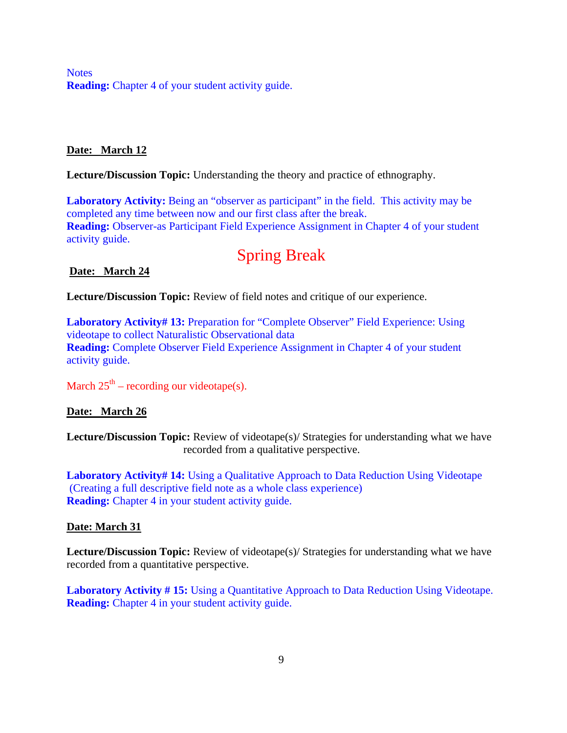**Notes Reading:** Chapter 4 of your student activity guide.

## **Date: March 12**

**Lecture/Discussion Topic:** Understanding the theory and practice of ethnography.

**Laboratory Activity:** Being an "observer as participant" in the field. This activity may be completed any time between now and our first class after the break. **Reading:** Observer-as Participant Field Experience Assignment in Chapter 4 of your student activity guide.

# Spring Break

## **Date: March 24**

**Lecture/Discussion Topic:** Review of field notes and critique of our experience.

**Laboratory Activity# 13:** Preparation for "Complete Observer" Field Experience: Using videotape to collect Naturalistic Observational data **Reading:** Complete Observer Field Experience Assignment in Chapter 4 of your student activity guide.

March  $25<sup>th</sup>$  – recording our videotape(s).

# **Date: March 26**

**Lecture/Discussion Topic:** Review of videotape(s)/ Strategies for understanding what we have recorded from a qualitative perspective.

**Laboratory Activity# 14:** Using a Qualitative Approach to Data Reduction Using Videotape (Creating a full descriptive field note as a whole class experience) **Reading:** Chapter 4 in your student activity guide.

## **Date: March 31**

**Lecture/Discussion Topic:** Review of videotape(s)/ Strategies for understanding what we have recorded from a quantitative perspective.

**Laboratory Activity # 15:** Using a Quantitative Approach to Data Reduction Using Videotape. **Reading:** Chapter 4 in your student activity guide.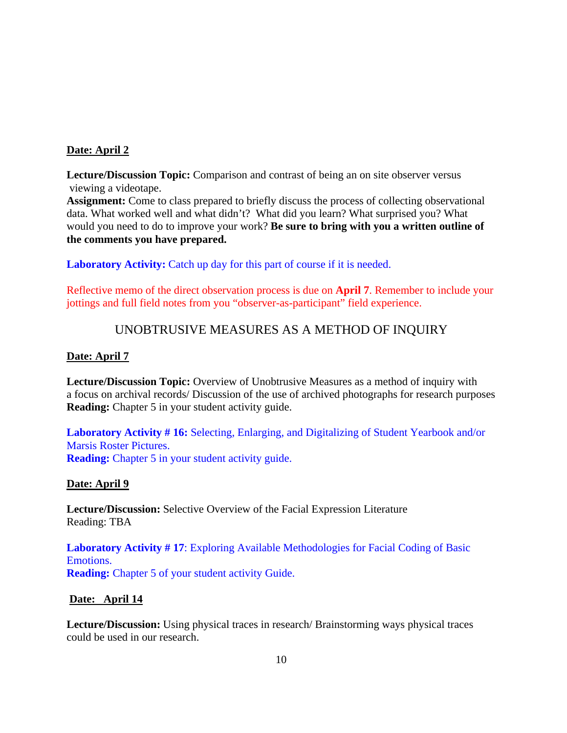## **Date: April 2**

**Lecture/Discussion Topic:** Comparison and contrast of being an on site observer versus viewing a videotape.

**Assignment:** Come to class prepared to briefly discuss the process of collecting observational data. What worked well and what didn't? What did you learn? What surprised you? What would you need to do to improve your work? **Be sure to bring with you a written outline of the comments you have prepared.**

**Laboratory Activity:** Catch up day for this part of course if it is needed.

Reflective memo of the direct observation process is due on **April 7**. Remember to include your jottings and full field notes from you "observer-as-participant" field experience.

# UNOBTRUSIVE MEASURES AS A METHOD OF INQUIRY

## **Date: April 7**

**Lecture/Discussion Topic:** Overview of Unobtrusive Measures as a method of inquiry with a focus on archival records/ Discussion of the use of archived photographs for research purposes **Reading:** Chapter 5 in your student activity guide.

**Laboratory Activity # 16:** Selecting, Enlarging, and Digitalizing of Student Yearbook and/or Marsis Roster Pictures. **Reading:** Chapter 5 in your student activity guide.

## **Date: April 9**

**Lecture/Discussion:** Selective Overview of the Facial Expression Literature Reading: TBA

**Laboratory Activity # 17**: Exploring Available Methodologies for Facial Coding of Basic Emotions. **Reading:** Chapter 5 of your student activity Guide.

## **Date: April 14**

**Lecture/Discussion:** Using physical traces in research/ Brainstorming ways physical traces could be used in our research.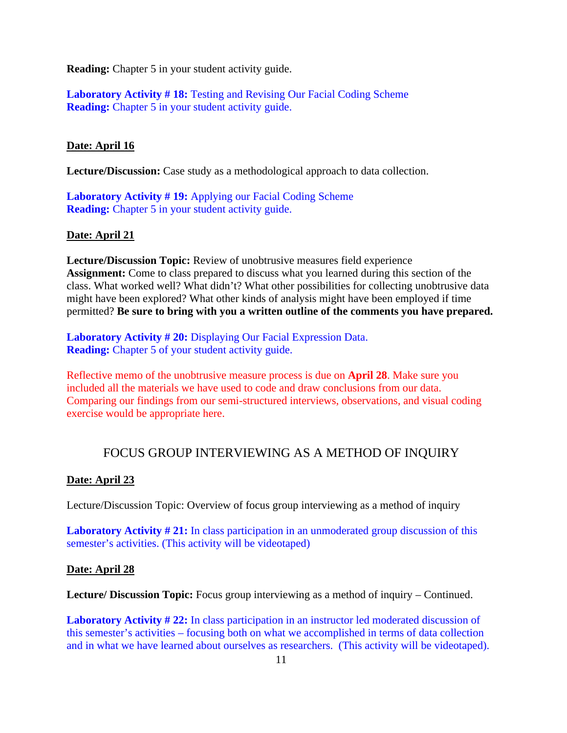**Reading:** Chapter 5 in your student activity guide.

**Laboratory Activity # 18:** Testing and Revising Our Facial Coding Scheme **Reading:** Chapter 5 in your student activity guide.

## **Date: April 16**

**Lecture/Discussion:** Case study as a methodological approach to data collection.

**Laboratory Activity # 19:** Applying our Facial Coding Scheme **Reading:** Chapter 5 in your student activity guide.

### **Date: April 21**

**Lecture/Discussion Topic:** Review of unobtrusive measures field experience **Assignment:** Come to class prepared to discuss what you learned during this section of the class. What worked well? What didn't? What other possibilities for collecting unobtrusive data might have been explored? What other kinds of analysis might have been employed if time permitted? **Be sure to bring with you a written outline of the comments you have prepared.**

**Laboratory Activity # 20:** Displaying Our Facial Expression Data. **Reading:** Chapter 5 of your student activity guide.

Reflective memo of the unobtrusive measure process is due on **April 28**. Make sure you included all the materials we have used to code and draw conclusions from our data. Comparing our findings from our semi-structured interviews, observations, and visual coding exercise would be appropriate here.

# FOCUS GROUP INTERVIEWING AS A METHOD OF INQUIRY

## **Date: April 23**

Lecture/Discussion Topic: Overview of focus group interviewing as a method of inquiry

**Laboratory Activity # 21:** In class participation in an unmoderated group discussion of this semester's activities. (This activity will be videotaped)

### **Date: April 28**

Lecture/ Discussion Topic: Focus group interviewing as a method of inquiry – Continued.

Laboratory Activity # 22: In class participation in an instructor led moderated discussion of this semester's activities – focusing both on what we accomplished in terms of data collection and in what we have learned about ourselves as researchers. (This activity will be videotaped).